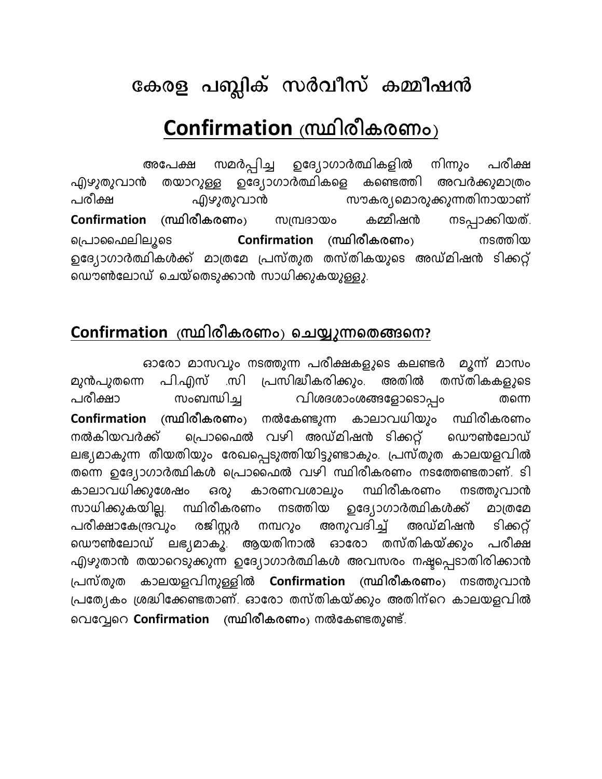## കേരള പബ്ലിക് സർവീസ് കമ്മീഷൻ

## Confirmation (സ്ഥിരീകരണം)

നിന്നും സമർപ്പിച്ച ഉദ്യോഗാർത്ഥികളിൽ പരീക്ഷ അപേക്ഷ ഉദ്യോഗാർത്ഥികളെ കണ്ടെത്തി അവർക്കുമാത്രം തയാറുള്ള എഴുതുവാൻ സൗകര്യമൊരുക്കുന്നതിനായാണ് എഴുതുവാൻ പരീക്ഷ നടപ്പാക്കിയത്. **Confirmation** കമ്മീഷൻ (സ്ഥിരീകരണം) സമ്പ്രദായം പ്രൊഫൈലിലുടെ നടത്തിയ Confirmation (സ്ഥിരീകരണം) ഉദ്യോഗാർത്ഥികൾക്ക് മാത്രമേ പ്രസ്തുത തസ്തികയുടെ അഡ്മിഷൻ ടിക്കറ്റ് ഡൌൺലോഡ് ചെയ്തെടുക്കാൻ സാധിക്കുകയുള്ളു.

## Confirmation (സ്ഥിരീകരണം) ചെയ്യുന്നതെങ്ങനെ?

ഓരോ മാസവും നടത്തുന്ന പരീക്ഷകളുടെ കലണ്ടർ മൂന്ന് മാസം പ്രസിദ്ധീകരിക്കും. അതിൽ തസ്തികകളുടെ മുൻപുതന്നെ പി.എസ് .സി വിശദശാംശങ്ങളോടൊപ്പം പരീക്ഷാ സംബന്ധിച്ച തന്നെ Confirmation (സ്ഥിരീകരണം) നൽകേണ്ടുന്ന കാലാവധിയും സ്ഥിരീകരണം പ്രൊഫൈൽ വഴി അഡ്മിഷൻ ടിക്കറ്റ് നൽകിയവർക്ക് ൜ൌൺലോഡ് ലഭ്യമാകുന്ന തീയതിയും രേഖപ്പെടുത്തിയിട്ടുണ്ടാകും. പ്രസ്തുത കാലയളവിൽ തന്നെ ഉദ്യോഗാർത്ഥികൾ പ്രൊഫൈൽ വഴി സ്ഥിരീകരണം നടത്തേണ്ടതാണ്. ടി കാലാവധിക്കുശേഷം നടത്തുവാൻ സ്ഥിരീകരണം കാരണവശാലും ഒരു സാധിക്കുകയില്ല. ഉദ്യോഗാർത്ഥികൾക്ക് സ്ഥിരീകരണം നടത്തിയ മാത്രമേ രജിസ്റ്റർ പരീക്ഷാകേന്ദ്രവും നമ്പറും അനുവദിച്ച് അഡ്മിഷൻ ടിക്കറ്റ് ലഭ്യമാകൂ. ആയതിനാൽ ഓരോ തസ്തികയ്ക്കും പരീക്ഷ ൜ൌൺലോഡ് എഴുതാൻ തയാറെടുക്കുന്ന ഉദ്യോഗാർത്ഥികൾ അവസരം നഷ്ടപ്പെടാതിരിക്കാൻ കാലയളവിനുള്ളിൽ Confirmation (സ്ഥിരീകരണം) നടത്തുവാൻ പ്രസ്തുത പ്രത്യേകം ശ്രദ്ധിക്കേണ്ടതാണ്. ഓരോ തസ്തികയ്ക്കും അതിന്റെ കാലയളവിൽ വെവ്വേറെ Confirmation (സ്ഥിരീകരണം) നൽകേണ്ടതുണ്ട്.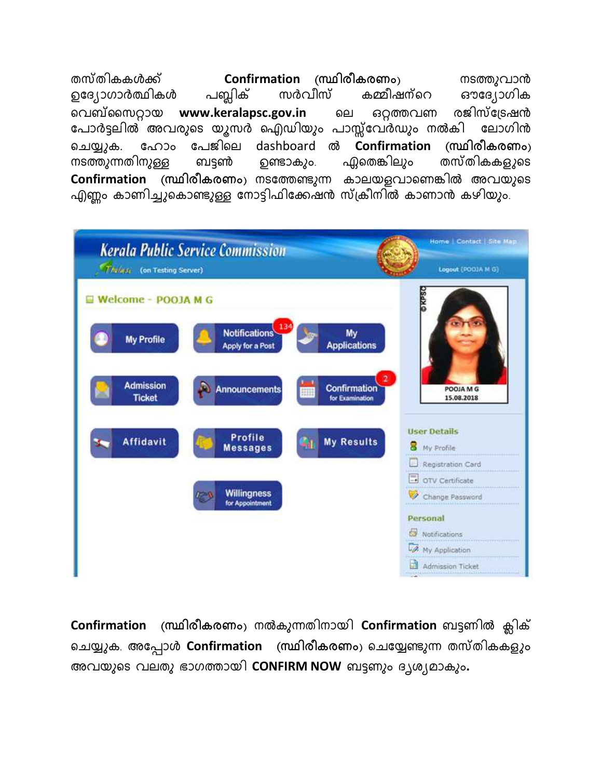തസ്തികകൾക്ക് Confirmation (സ്ഥിരീകരണം) നടത്തുവാൻ ഉദ്യോഗാർത്ഥികൾ പബ്ലിക് സർവീസ് കമ്മീഷന്റെ ഔദ്യോഗിക വെബ്സൈറ്റായ www.keralapsc.gov.in ഒറ്റത്തവണ രജിസ്ട്രേഷൻ ലെ പോർട്ടലിൽ അവരുടെ യൂസർ ഐഡിയും പാസ്സ്വേർഡും നൽകി ലോഗിൻ പേജിലെ ഹോം dashboard ൽ Confirmation (സ്ഥിരീകരണം) ചെയ്യുക. തസ്തികക*ളു*ടെ നടത്തുന്നതിനുള്ള ബട്ടൺ ഉണ്ടാകും. ഫ്ലതെങ്കിലും Confirmation (സ്ഥിരീകരണം) നടത്തേണ്ടുന്ന കാലയളവാണെങ്കിൽ അവയുടെ എണ്ണം കാണിച്ചുകൊണ്ടുള്ള നോട്ടിഫിക്കേഷൻ സ്ക്രീനിൽ കാണാൻ കഴിയും.



(സ്ഥിരീകരണം) നൽകുന്നതിനായി Confirmation ബട്ടണിൽ ക്ലിക് Confirmation ചെയ്യുക. അപ്പോൾ Confirmation (സ്ഥിരീകരണം) ചെയ്യേണ്ടുന്ന തസ്തികകളും അവയുടെ വലതു ഭാഗത്തായി CONFIRM NOW ബട്ടണും ദൃശ്യമാകും.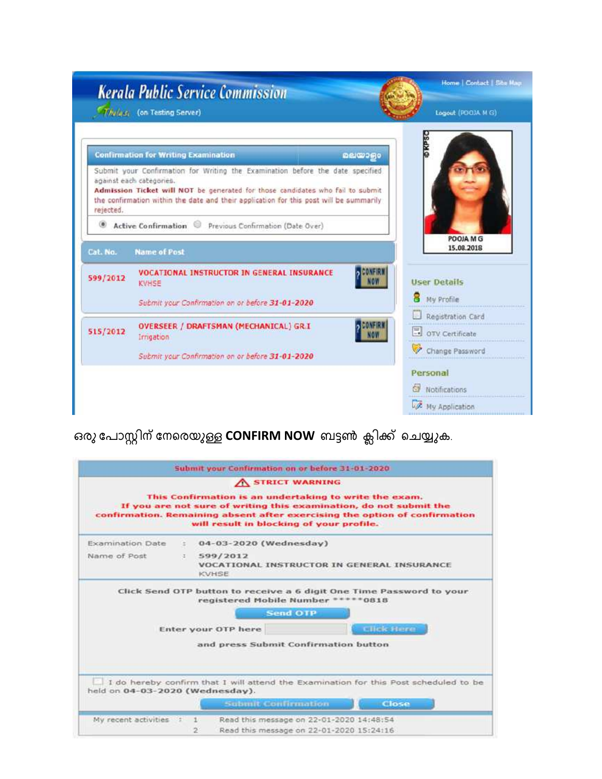|                                  | <b>Kerala Public Service Commission</b><br>T/V (43 (on Testing Server)                                                                                                                                                                                                                 | Logout (PGO)A M G)   |
|----------------------------------|----------------------------------------------------------------------------------------------------------------------------------------------------------------------------------------------------------------------------------------------------------------------------------------|----------------------|
|                                  | <b>Confirmation for Writing Examination</b>                                                                                                                                                                                                                                            | <b>DKPS</b><br>வலைதல |
| rejected.                        | Submit your Confirmation for Writing the Examination before the date specified<br>against each categories.<br>Admission Ticket will NOT be generated for those candidates who fail to submit<br>the confirmation within the date and their application for this post will be summarily |                      |
| œ.                               | Active Confirmation<br>Previous Confirmation (Date Over)                                                                                                                                                                                                                               | POOJA M G            |
|                                  |                                                                                                                                                                                                                                                                                        |                      |
|                                  | <b>Name of Post</b>                                                                                                                                                                                                                                                                    | 15.08.2018           |
|                                  | <b>VOCATIONAL INSTRUCTOR IN GENERAL INSURANCE</b><br>KVHSE                                                                                                                                                                                                                             | <b>User Details</b>  |
|                                  | Submit your Confirmation on or before 31-01-2020                                                                                                                                                                                                                                       | My Profile           |
|                                  |                                                                                                                                                                                                                                                                                        | Registration Card    |
|                                  | OVERSEER / DRAFTSMAN (MECHANICAL) GR.I.<br>Irrigation                                                                                                                                                                                                                                  | OTV Certificate      |
|                                  | Submit your Confirmation on or before 31-01-2020                                                                                                                                                                                                                                       | Change Password      |
|                                  |                                                                                                                                                                                                                                                                                        | Personal             |
| Cat. No.<br>599/2012<br>515/2012 |                                                                                                                                                                                                                                                                                        | Notifications        |

ഒരു പോസ്റ്റിന് നേരെയുള്ള CONFIRM NOW ബട്ടൺ ക്ലിക്ക് ചെയ്യുക.

| A STRICT WARNING<br>This Confirmation is an undertaking to write the exam.<br>If you are not sure of writing this examination, do not submit the<br>confirmation. Remaining absent after exercising the option of confirmation |    |                                                                                                                |  |                    |  |
|--------------------------------------------------------------------------------------------------------------------------------------------------------------------------------------------------------------------------------|----|----------------------------------------------------------------------------------------------------------------|--|--------------------|--|
|                                                                                                                                                                                                                                |    | will result in blocking of your profile.                                                                       |  |                    |  |
| <b>Examination Date</b>                                                                                                                                                                                                        | -2 | 04-03-2020 (Wednesday)                                                                                         |  |                    |  |
| Name of Post<br>599/2012<br>30 L<br><b>VOCATIONAL INSTRUCTOR IN GENERAL INSURANCE</b><br><b>KVHSE</b>                                                                                                                          |    |                                                                                                                |  |                    |  |
|                                                                                                                                                                                                                                |    | Click Send OTP button to receive a 6 digit One Time Password to your<br>registered Mobile Number *<br>Send OTP |  | $*80*$             |  |
|                                                                                                                                                                                                                                |    | Enter your OTP here                                                                                            |  | <b>Clinic Home</b> |  |
|                                                                                                                                                                                                                                |    | and press Submit Confirmation button                                                                           |  |                    |  |
| held on 04-03-2020 (Wednesday).                                                                                                                                                                                                |    | I do hereby confirm that I will attend the Examination for this Post scheduled to be                           |  |                    |  |
|                                                                                                                                                                                                                                |    | Submit Confirmation                                                                                            |  | Close              |  |
|                                                                                                                                                                                                                                |    |                                                                                                                |  |                    |  |
| My recent activities : 1                                                                                                                                                                                                       |    | Read this message on 22-01-2020 14:48:54<br>Read this message on 22-01-2020 15:24:16                           |  |                    |  |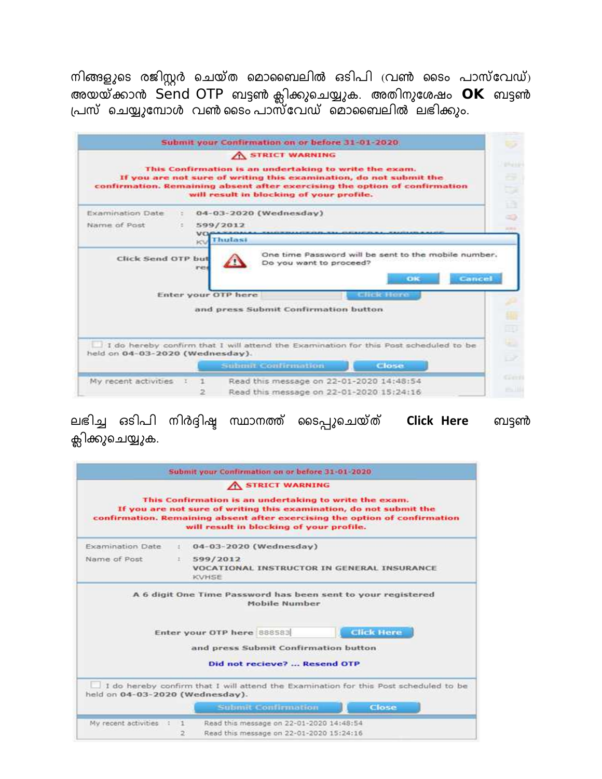നിങ്ങളുടെ രജിസ്റ്റർ ചെയ്ത മൊബൈലിൽ ഒടിപി (വൺ ടൈം പാസ്വേഡ്) അയയ്ക്കാൻ Send OTP ബട്ടൺ ക്ലിക്കുചെയ്യുക. അതിനുശേഷം OK ബട്ടൺ<br>പ്രസ് ചെയ്യുമ്പോൾ വൺടൈം പാസ്വേഡ് മൊബൈലിൽ ലഭിക്കും.

|                                                                 | Submit your Confirmation on or before 31-01-2020.                                                                                                                                                                                                      |
|-----------------------------------------------------------------|--------------------------------------------------------------------------------------------------------------------------------------------------------------------------------------------------------------------------------------------------------|
|                                                                 | A STRICT WARNING                                                                                                                                                                                                                                       |
|                                                                 | This Confirmation is an undertaking to write the exam.<br>If you are not sure of writing this examination, do not submit the<br>confirmation. Remaining absent after exercising the option of confirmation<br>will result in blocking of your profile. |
| Examination Date                                                | 04-03-2020 (Wednesday)                                                                                                                                                                                                                                 |
| Name of Post                                                    | 599/2012                                                                                                                                                                                                                                               |
|                                                                 | Thulasi<br><b>KN</b>                                                                                                                                                                                                                                   |
| Click Send OTP but                                              | One time Password will be sent to the mobile number.<br>Do you want to proceed?<br>re                                                                                                                                                                  |
|                                                                 | Cancel<br><b>CIRCO</b><br>Enter your OTP here<br><b>Click Hore</b>                                                                                                                                                                                     |
|                                                                 | and press Submit Confirmation button                                                                                                                                                                                                                   |
|                                                                 | I do hereby confirm that I will attend the Examination for this Post scheduled to be                                                                                                                                                                   |
|                                                                 | Submit Confirmation<br>Close                                                                                                                                                                                                                           |
| held on 04-03-2020 (Wednesday).<br>My recent activities<br>- 21 | Read this message on 22-01-2020 14:48:54                                                                                                                                                                                                               |

ലഭിച്ച ഒടിപി നിർദ്ദിഷ്ട സ്ഥാനത്ത് ടൈപ്പുചെയ്ത് Click Here ബട്ടൺ ക്ലിക്കുചെയ്യുക.

|                                 | Submit your Confirmation on or before 31-01-2020                                                                                                                                                                                                       |  |
|---------------------------------|--------------------------------------------------------------------------------------------------------------------------------------------------------------------------------------------------------------------------------------------------------|--|
|                                 | A STRICT WARNING                                                                                                                                                                                                                                       |  |
|                                 | This Confirmation is an undertaking to write the exam.<br>If you are not sure of writing this examination, do not submit the<br>confirmation. Remaining absent after exercising the option of confirmation<br>will result in blocking of your profile. |  |
| <b>Examination Date</b>         | 04-03-2020 (Wednesday)<br>÷.                                                                                                                                                                                                                           |  |
| Name of Post                    | 599/2012<br>2011<br>VOCATIONAL INSTRUCTOR IN GENERAL INSURANCE<br><b>KVHSE</b>                                                                                                                                                                         |  |
|                                 | A 6 digit One Time Password has been sent to your registered<br>Mobile Number                                                                                                                                                                          |  |
|                                 | <b>Click Here</b><br>Enter your OTP here 888583                                                                                                                                                                                                        |  |
|                                 | and press Submit Confirmation button                                                                                                                                                                                                                   |  |
|                                 | Did not recieve?  Resend OTP                                                                                                                                                                                                                           |  |
| held on 04-03-2020 (Wednesday). | I do hereby confirm that I will attend the Examination for this Post scheduled to be<br>Close<br>Submit Confirmation                                                                                                                                   |  |
| My recent activities :          | Read this message on 22-01-2020 14:48:54<br>$-1$                                                                                                                                                                                                       |  |
|                                 | Read this message on 22-01-2020 15:24:16<br>21                                                                                                                                                                                                         |  |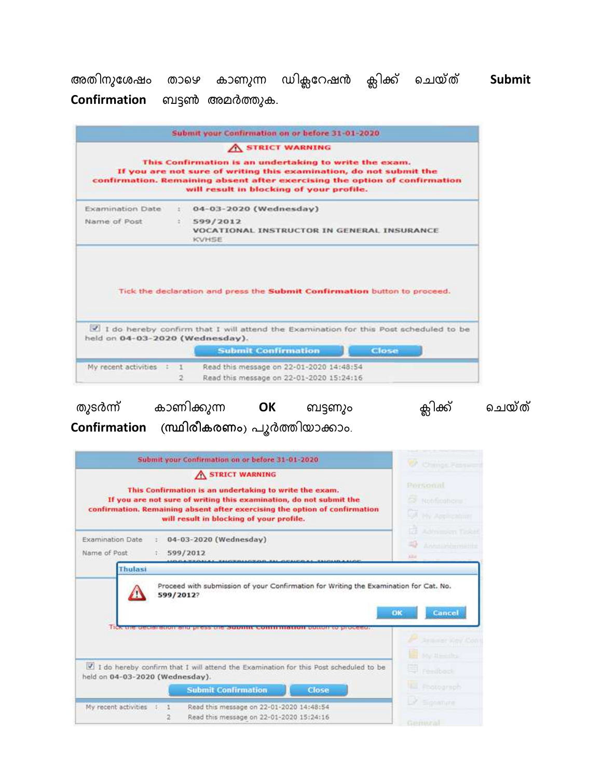അതിനുശേഷം താഴെ കാണുന്ന ഡിക്ലറേഷൻ ക്ലിക്ക് ചെയ്ത് Submit Confirmation ബട്ടൺ അമർത്തുക.

|                                                                                        | A STRICT WARNING                                                                                                                                                                                                                                       |
|----------------------------------------------------------------------------------------|--------------------------------------------------------------------------------------------------------------------------------------------------------------------------------------------------------------------------------------------------------|
|                                                                                        | This Confirmation is an undertaking to write the exam.<br>If you are not sure of writing this examination, do not submit the<br>confirmation. Remaining absent after exercising the option of confirmation<br>will result in blocking of your profile. |
| <b>Examination Date</b>                                                                | 04-03-2020 (Wednesday)                                                                                                                                                                                                                                 |
| Name of Post<br>599/2012<br>VOCATIONAL INSTRUCTOR IN GENERAL INSURANCE<br><b>KVHSE</b> |                                                                                                                                                                                                                                                        |
|                                                                                        |                                                                                                                                                                                                                                                        |
| held on 04-03-2020 (Wednesday).                                                        | Tick the declaration and press the Submit Confirmation button to proceed.<br>I do hereby confirm that I will attend the Examination for this Post scheduled to be                                                                                      |
| My recent activities : 1                                                               | <b>Submit Confirmation</b><br>Close<br>Read this message on 22-01-2020 14:48:54                                                                                                                                                                        |

ക്ലിക്ക് ചെയ്ത് തുടർന്ന് കാണിക്കുന്ന OK ബട്ടണും Confirmation (സ്ഥിരീകരണം) പൂർത്തിയാക്കാം.

| Submit your Confirmation on or before 31-01-2020                                                                                                                                                                                                                           | <b>W</b> Cargo Research                                                     |
|----------------------------------------------------------------------------------------------------------------------------------------------------------------------------------------------------------------------------------------------------------------------------|-----------------------------------------------------------------------------|
| A STRICT WARNING<br>This Confirmation is an undertaking to write the exam.<br>If you are not sure of writing this examination, do not submit the<br>confirmation. Remaining absent after exercising the option of confirmation<br>will result in blocking of your profile. | Personni<br><b>CO</b> Notifications<br>A My Application<br>Admission Tisket |
| 04-03-2020 (Wednesday)<br>Examination Date<br>Name of Post<br>599/2012                                                                                                                                                                                                     | <b>Sidualisticismum</b><br><b>LEA</b>                                       |
| 599/2012?                                                                                                                                                                                                                                                                  | OK<br><b>Cancel</b>                                                         |
|                                                                                                                                                                                                                                                                            | smer Juey.<br><b>E</b> by the the                                           |
| I do hereby confirm that I will attend the Examination for this Post scheduled to be<br>held on 04-03-2020 (Wednesday).                                                                                                                                                    | <b>Ed readbook</b>                                                          |
| <b>Submit Confirmation</b><br><b>Close</b><br>Read this message on 22-01-2020 14:48:54<br>My recent activities<br>л                                                                                                                                                        | El Pootograph<br>LP Sponner                                                 |
| Read this message on 22-01-2020 15:24:16<br>2                                                                                                                                                                                                                              | after some and some that the first                                          |